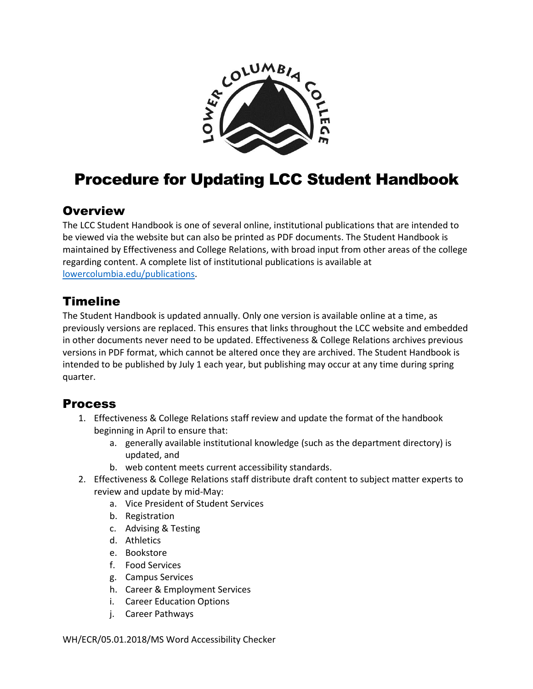

## Procedure for Updating LCC Student Handbook

## **Overview**

The LCC Student Handbook is one of several online, institutional publications that are intended to be viewed via the website but can also be printed as PDF documents. The Student Handbook is maintained by Effectiveness and College Relations, with broad input from other areas of the college regarding content. A complete list of institutional publications is available at [lowercolumbia.edu/publications.](https://lowercolumbia.edu/publications/)

## Timeline

The Student Handbook is updated annually. Only one version is available online at a time, as previously versions are replaced. This ensures that links throughout the LCC website and embedded in other documents never need to be updated. Effectiveness & College Relations archives previous versions in PDF format, which cannot be altered once they are archived. The Student Handbook is intended to be published by July 1 each year, but publishing may occur at any time during spring quarter.

## Process

- 1. Effectiveness & College Relations staff review and update the format of the handbook beginning in April to ensure that:
	- a. generally available institutional knowledge (such as the department directory) is updated, and
	- b. web content meets current accessibility standards.
- 2. Effectiveness & College Relations staff distribute draft content to subject matter experts to review and update by mid-May:
	- a. Vice President of Student Services
	- b. Registration
	- c. Advising & Testing
	- d. Athletics
	- e. Bookstore
	- f. Food Services
	- g. Campus Services
	- h. Career & Employment Services
	- i. Career Education Options
	- j. Career Pathways

WH/ECR/05.01.2018/MS Word Accessibility Checker